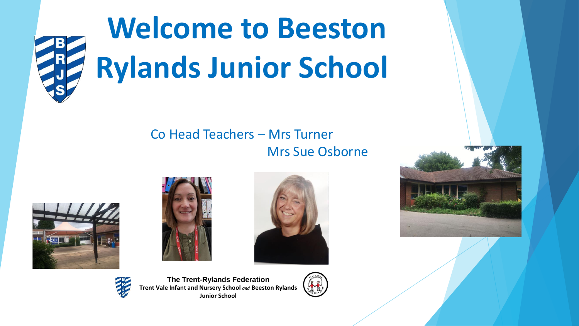

# **Welcome to Beeston Rylands Junior School**

#### Co Head Teachers – Mrs Turner Mrs Sue Osborne









**The Trent-Rylands Federation Trent Vale Infant and Nursery School** *and* **Beeston Rylands Junior School**



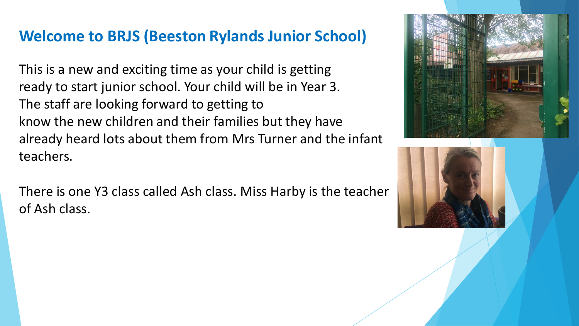#### **Welcome to BRJS (Beeston Rylands Junior School)**

This is a new and exciting time as your child is getting ready to start junior school. Your child will be in Year 3. The staff are looking forward to getting to know the new children and their families but they have already heard lots about them from Mrs Turner and the infant teachers.

There is one Y3 class called Ash class. Miss Harby is the teacher of Ash class.



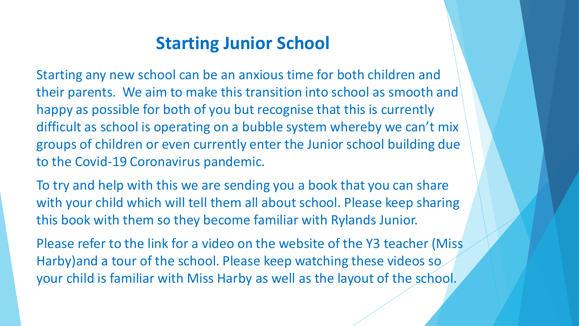## **Starting Junior School**

Starting any new school can be an anxious time for both children and their parents. We aim to make this transition into school as smooth and happy as possible for both of you but recognise that this is currently difficult as school is operating on a bubble system whereby we can't mix groups of children or even currently enter the Junior school building due to the Covid-19 Coronavirus pandemic.

To try and help with this we are sending you a book that you can share with your child which will tell them all about school. Please keep sharing this book with them so they become familiar with Rylands Junior.

Please refer to the link for a video on the website of the Y3 teacher (Miss Harby)and a tour of the school. Please keep watching these videos so your child is familiar with Miss Harby as well as the layout of the school.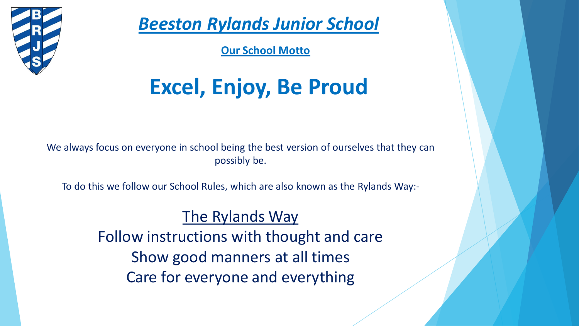

*Beeston Rylands Junior School*

**Our School Motto**

# **Excel, Enjoy, Be Proud**

We always focus on everyone in school being the best version of ourselves that they can possibly be.

To do this we follow our School Rules, which are also known as the Rylands Way:-

#### The Rylands Way

Follow instructions with thought and care Show good manners at all times Care for everyone and everything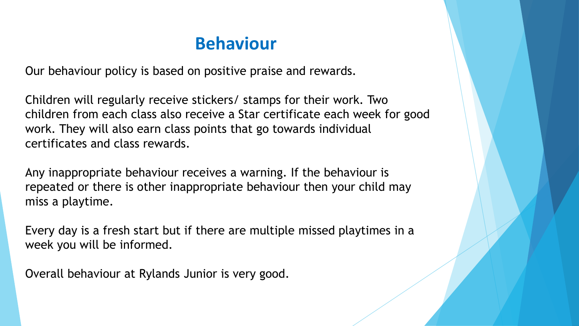## **Behaviour**

Our behaviour policy is based on positive praise and rewards.

Children will regularly receive stickers/ stamps for their work. Two children from each class also receive a Star certificate each week for good work. They will also earn class points that go towards individual certificates and class rewards.

Any inappropriate behaviour receives a warning. If the behaviour is repeated or there is other inappropriate behaviour then your child may miss a playtime.

Every day is a fresh start but if there are multiple missed playtimes in a week you will be informed.

Overall behaviour at Rylands Junior is very good.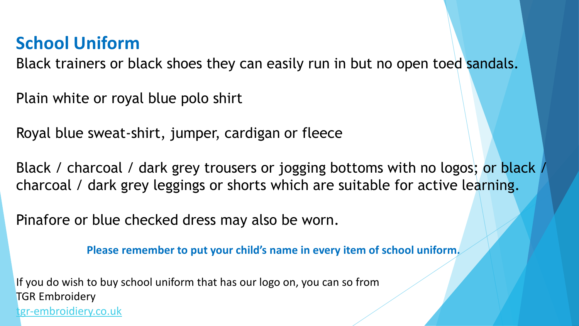## **School Uniform**

Black trainers or black shoes they can easily run in but no open toed sandals.

Plain white or royal blue polo shirt

Royal blue sweat-shirt, jumper, cardigan or fleece

Black / charcoal / dark grey trousers or jogging bottoms with no logos; or black / charcoal / dark grey leggings or shorts which are suitable for active learning.

Pinafore or blue checked dress may also be worn.

**Please remember to put your child's name in every item of school uniform.** 

If you do wish to buy school uniform that has our logo on, you can so from TGR Embroidery [tgr-embroidiery.co.uk](NewParentsPresentationFoundationupdatedJune 2020.pptx)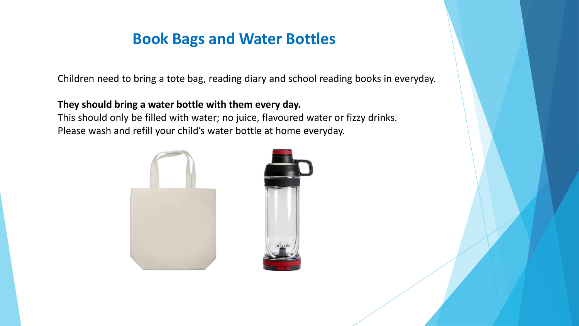#### **Book Bags and Water Bottles**

Children need to bring a tote bag, reading diary and school reading books in everyday.

#### **They should bring a water bottle with them every day.**

This should only be filled with water; no juice, flavoured water or fizzy drinks. Please wash and refill your child's water bottle at home everyday.



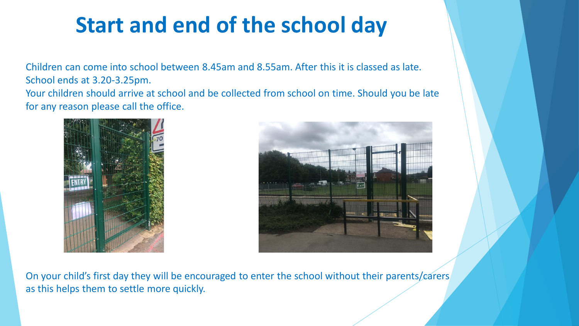# **Start and end of the school day**

Children can come into school between 8.45am and 8.55am. After this it is classed as late. School ends at 3.20-3.25pm. Your children should arrive at school and be collected from school on time. Should you be late for any reason please call the office.





On your child's first day they will be encouraged to enter the school without their parents/carers as this helps them to settle more quickly.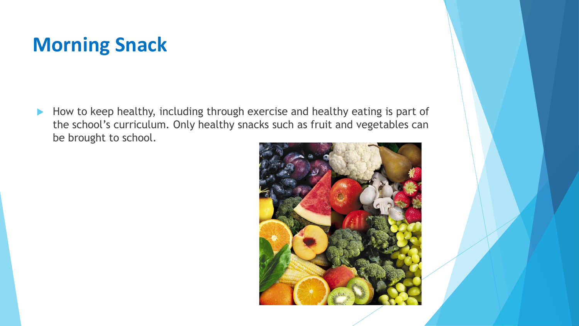# **Morning Snack**

How to keep healthy, including through exercise and healthy eating is part of the school's curriculum. Only healthy snacks such as fruit and vegetables can be brought to school.

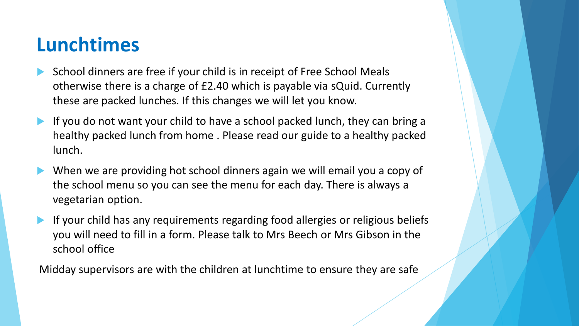# **Lunchtimes**

- School dinners are free if your child is in receipt of Free School Meals otherwise there is a charge of £2.40 which is payable via sQuid. Currently these are packed lunches. If this changes we will let you know.
- If you do not want your child to have a school packed lunch, they can bring a healthy packed lunch from home . Please read our guide to a healthy packed lunch.
- When we are providing hot school dinners again we will email you a copy of the school menu so you can see the menu for each day. There is always a vegetarian option.
- If your child has any requirements regarding food allergies or religious beliefs you will need to fill in a form. Please talk to Mrs Beech or Mrs Gibson in the school office

Midday supervisors are with the children at lunchtime to ensure they are safe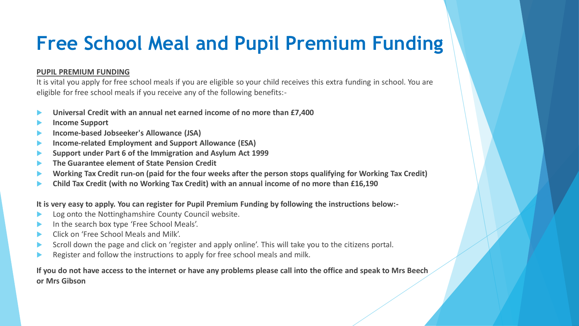# **Free School Meal and Pupil Premium Funding**

#### **PUPIL PREMIUM FUNDING**

It is vital you apply for free school meals if you are eligible so your child receives this extra funding in school. You are eligible for free school meals if you receive any of the following benefits:-

- **Universal Credit with an annual net earned income of no more than £7,400**
- **Income Support**
- **Income-based Jobseeker's Allowance (JSA)**
- **Income-related Employment and Support Allowance (ESA)**
- **Support under Part 6 of the Immigration and Asylum Act 1999**
- **The Guarantee element of State Pension Credit**
- **Working Tax Credit run-on (paid for the four weeks after the person stops qualifying for Working Tax Credit)**
- **Child Tax Credit (with no Working Tax Credit) with an annual income of no more than £16,190**

**It is very easy to apply. You can register for Pupil Premium Funding by following the instructions below:-**

- Log onto the Nottinghamshire County Council website.
- In the search box type 'Free School Meals'.
- Click on 'Free School Meals and Milk'.
- Scroll down the page and click on 'register and apply online'. This will take you to the citizens portal.
- Register and follow the instructions to apply for free school meals and milk.

**If you do not have access to the internet or have any problems please call into the office and speak to Mrs Beech or Mrs Gibson**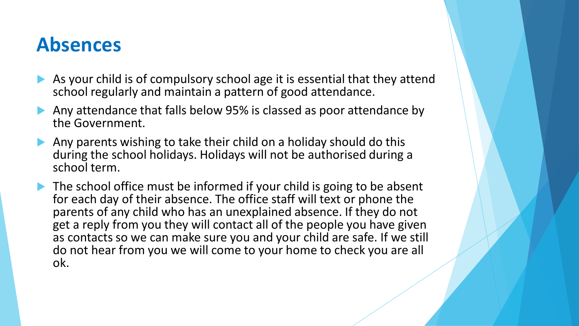# **Absences**

- As your child is of compulsory school age it is essential that they attend school regularly and maintain a pattern of good attendance.
- Any attendance that falls below 95% is classed as poor attendance by the Government.
- Any parents wishing to take their child on a holiday should do this during the school holidays. Holidays will not be authorised during a school term.
- $\blacktriangleright$  The school office must be informed if your child is going to be absent for each day of their absence. The office staff will text or phone the parents of any child who has an unexplained absence. If they do not get a reply from you they will contact all of the people you have given as contacts so we can make sure you and your child are safe. If we still do not hear from you we will come to your home to check you are all ok.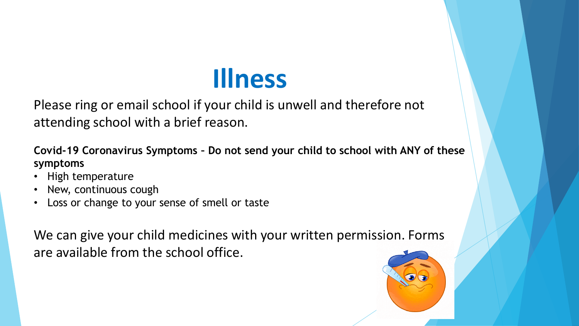# **Illness**

Please ring or email school if your child is unwell and therefore not attending school with a brief reason.

**Covid-19 Coronavirus Symptoms – Do not send your child to school with ANY of these symptoms**

- High temperature
- New, continuous cough
- Loss or change to your sense of smell or taste

We can give your child medicines with your written permission. Forms are available from the school office.

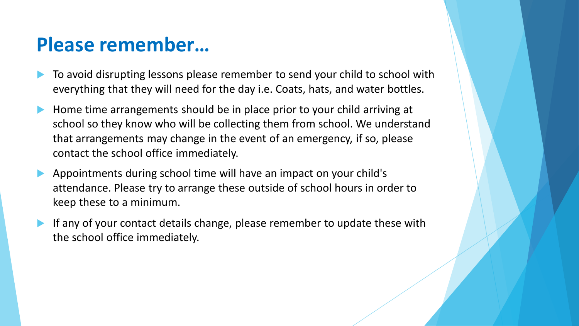## **Please remember…**

- To avoid disrupting lessons please remember to send your child to school with everything that they will need for the day i.e. Coats, hats, and water bottles.
- Home time arrangements should be in place prior to your child arriving at school so they know who will be collecting them from school. We understand that arrangements may change in the event of an emergency, if so, please contact the school office immediately.
- Appointments during school time will have an impact on your child's attendance. Please try to arrange these outside of school hours in order to keep these to a minimum.
- If any of your contact details change, please remember to update these with the school office immediately.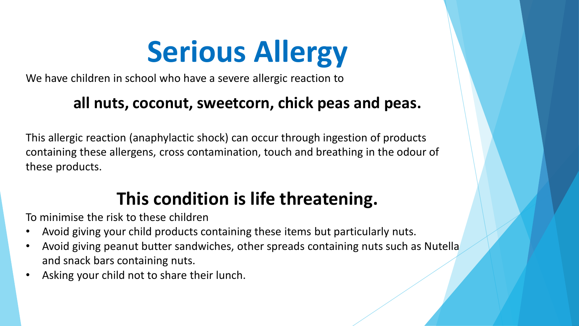# **Serious Allergy**

We have children in school who have a severe allergic reaction to

### **all nuts, coconut, sweetcorn, chick peas and peas.**

This allergic reaction (anaphylactic shock) can occur through ingestion of products containing these allergens, cross contamination, touch and breathing in the odour of these products.

# **This condition is life threatening.**

To minimise the risk to these children

- Avoid giving your child products containing these items but particularly nuts.
- Avoid giving peanut butter sandwiches, other spreads containing nuts such as Nutella and snack bars containing nuts.
- Asking your child not to share their lunch.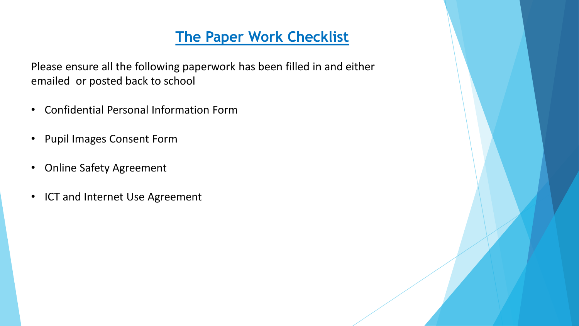#### **The Paper Work Checklist**

Please ensure all the following paperwork has been filled in and either emailed or posted back to school

- Confidential Personal Information Form
- Pupil Images Consent Form
- Online Safety Agreement
- ICT and Internet Use Agreement